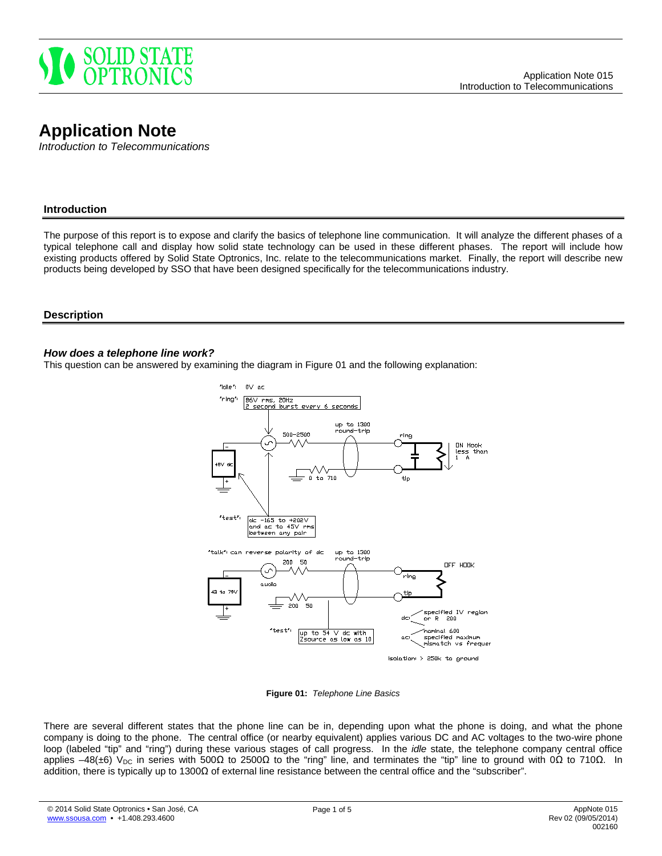

# **Application Note**

*Introduction to Telecommunications*

# **Introduction**

The purpose of this report is to expose and clarify the basics of telephone line communication. It will analyze the different phases of a typical telephone call and display how solid state technology can be used in these different phases. The report will include how existing products offered by Solid State Optronics, Inc. relate to the telecommunications market. Finally, the report will describe new products being developed by SSO that have been designed specifically for the telecommunications industry.

#### **Description**

#### *How does a telephone line work?*

This question can be answered by examining the diagram in Figure 01 and the following explanation:



**Figure 01:** *Telephone Line Basics*

There are several different states that the phone line can be in, depending upon what the phone is doing, and what the phone company is doing to the phone. The central office (or nearby equivalent) applies various DC and AC voltages to the two-wire phone loop (labeled "tip" and "ring") during these various stages of call progress. In the *idle* state, the telephone company central office applies –48(±6) V<sub>DC</sub> in series with 500Ω to 2500Ω to the "ring" line, and terminates the "tip" line to ground with 0Ω to 710Ω. In addition, there is typically up to 1300Ω of external line resistance between the central office and the "subscriber".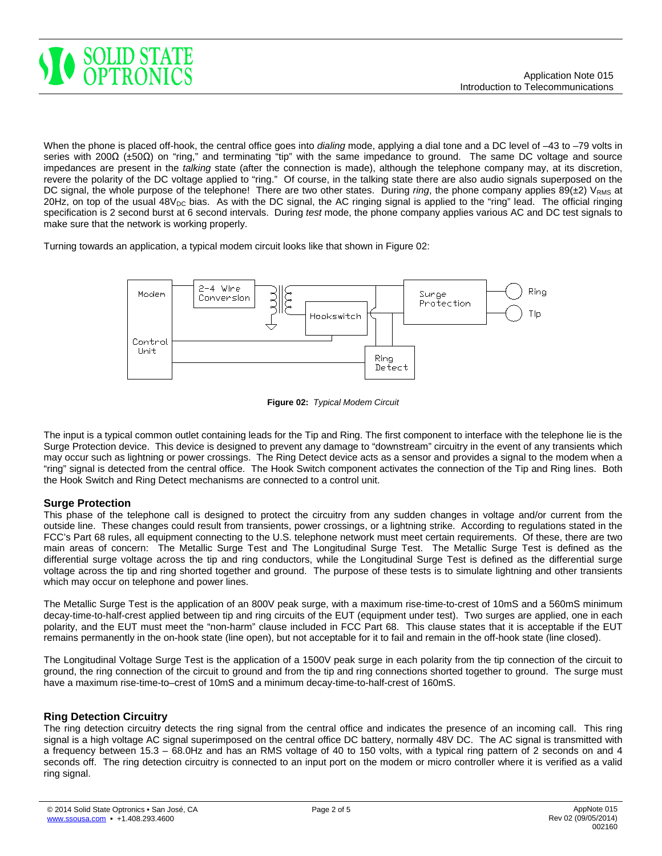

When the phone is placed off-hook, the central office goes into *dialing* mode, applying a dial tone and a DC level of –43 to –79 volts in series with 200Ω (±50Ω) on "ring," and terminating "tip" with the same impedance to ground. The same DC voltage and source impedances are present in the *talking* state (after the connection is made), although the telephone company may, at its discretion, revere the polarity of the DC voltage applied to "ring." Of course, in the talking state there are also audio signals superposed on the DC signal, the whole purpose of the telephone! There are two other states. During *ring*, the phone company applies 89(±2) V<sub>RMS</sub> at 20Hz, on top of the usual  $48V_{DC}$  bias. As with the DC signal, the AC ringing signal is applied to the "ring" lead. The official ringing specification is 2 second burst at 6 second intervals. During *test* mode, the phone company applies various AC and DC test signals to make sure that the network is working properly.

Turning towards an application, a typical modem circuit looks like that shown in Figure 02:



**Figure 02:** *Typical Modem Circuit*

The input is a typical common outlet containing leads for the Tip and Ring. The first component to interface with the telephone lie is the Surge Protection device. This device is designed to prevent any damage to "downstream" circuitry in the event of any transients which may occur such as lightning or power crossings. The Ring Detect device acts as a sensor and provides a signal to the modem when a "ring" signal is detected from the central office. The Hook Switch component activates the connection of the Tip and Ring lines. Both the Hook Switch and Ring Detect mechanisms are connected to a control unit.

# **Surge Protection**

This phase of the telephone call is designed to protect the circuitry from any sudden changes in voltage and/or current from the outside line. These changes could result from transients, power crossings, or a lightning strike. According to regulations stated in the FCC's Part 68 rules, all equipment connecting to the U.S. telephone network must meet certain requirements. Of these, there are two main areas of concern: The Metallic Surge Test and The Longitudinal Surge Test. The Metallic Surge Test is defined as the differential surge voltage across the tip and ring conductors, while the Longitudinal Surge Test is defined as the differential surge voltage across the tip and ring shorted together and ground. The purpose of these tests is to simulate lightning and other transients which may occur on telephone and power lines.

The Metallic Surge Test is the application of an 800V peak surge, with a maximum rise-time-to-crest of 10mS and a 560mS minimum decay-time-to-half-crest applied between tip and ring circuits of the EUT (equipment under test). Two surges are applied, one in each polarity, and the EUT must meet the "non-harm" clause included in FCC Part 68. This clause states that it is acceptable if the EUT remains permanently in the on-hook state (line open), but not acceptable for it to fail and remain in the off-hook state (line closed).

The Longitudinal Voltage Surge Test is the application of a 1500V peak surge in each polarity from the tip connection of the circuit to ground, the ring connection of the circuit to ground and from the tip and ring connections shorted together to ground. The surge must have a maximum rise-time-to–crest of 10mS and a minimum decay-time-to-half-crest of 160mS.

# **Ring Detection Circuitry**

The ring detection circuitry detects the ring signal from the central office and indicates the presence of an incoming call. This ring signal is a high voltage AC signal superimposed on the central office DC battery, normally 48V DC. The AC signal is transmitted with a frequency between 15.3 – 68.0Hz and has an RMS voltage of 40 to 150 volts, with a typical ring pattern of 2 seconds on and 4 seconds off. The ring detection circuitry is connected to an input port on the modem or micro controller where it is verified as a valid ring signal.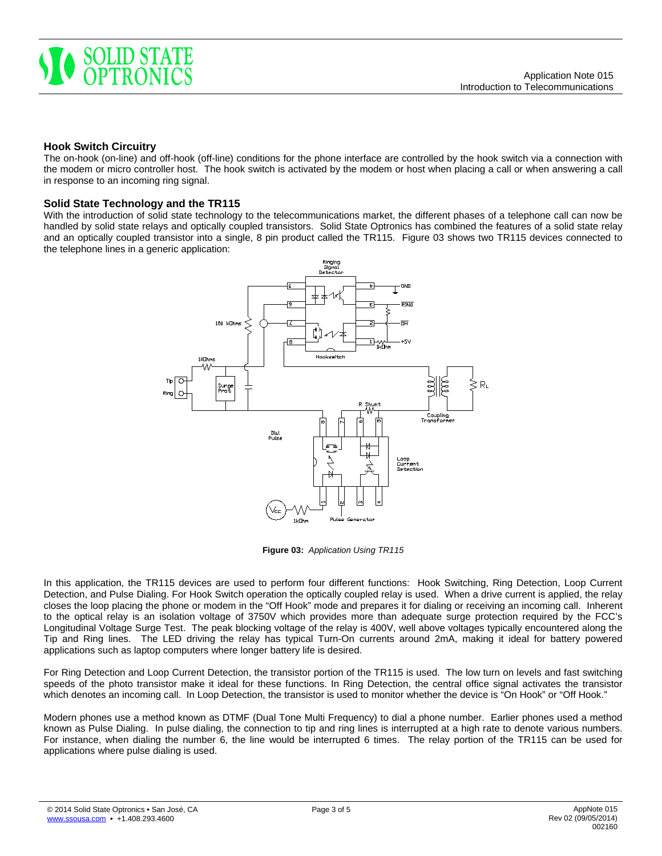

# **Hook Switch Circuitry**

The on-hook (on-line) and off-hook (off-line) conditions for the phone interface are controlled by the hook switch via a connection with the modem or micro controller host. The hook switch is activated by the modem or host when placing a call or when answering a call in response to an incoming ring signal.

#### **Solid State Technology and the TR115**

With the introduction of solid state technology to the telecommunications market, the different phases of a telephone call can now be handled by solid state relays and optically coupled transistors. Solid State Optronics has combined the features of a solid state relay and an optically coupled transistor into a single, 8 pin product called the TR115. Figure 03 shows two TR115 devices connected to the telephone lines in a generic application:



**Figure 03:** *Application Using TR115*

In this application, the TR115 devices are used to perform four different functions: Hook Switching, Ring Detection, Loop Current Detection, and Pulse Dialing. For Hook Switch operation the optically coupled relay is used. When a drive current is applied, the relay closes the loop placing the phone or modem in the "Off Hook" mode and prepares it for dialing or receiving an incoming call. Inherent to the optical relay is an isolation voltage of 3750V which provides more than adequate surge protection required by the FCC's Longitudinal Voltage Surge Test. The peak blocking voltage of the relay is 400V, well above voltages typically encountered along the Tip and Ring lines. The LED driving the relay has typical Turn-On currents around 2mA, making it ideal for battery powered applications such as laptop computers where longer battery life is desired.

For Ring Detection and Loop Current Detection, the transistor portion of the TR115 is used. The low turn on levels and fast switching speeds of the photo transistor make it ideal for these functions. In Ring Detection, the central office signal activates the transistor which denotes an incoming call. In Loop Detection, the transistor is used to monitor whether the device is "On Hook" or "Off Hook."

Modern phones use a method known as DTMF (Dual Tone Multi Frequency) to dial a phone number. Earlier phones used a method known as Pulse Dialing. In pulse dialing, the connection to tip and ring lines is interrupted at a high rate to denote various numbers. For instance, when dialing the number 6, the line would be interrupted 6 times. The relay portion of the TR115 can be used for applications where pulse dialing is used.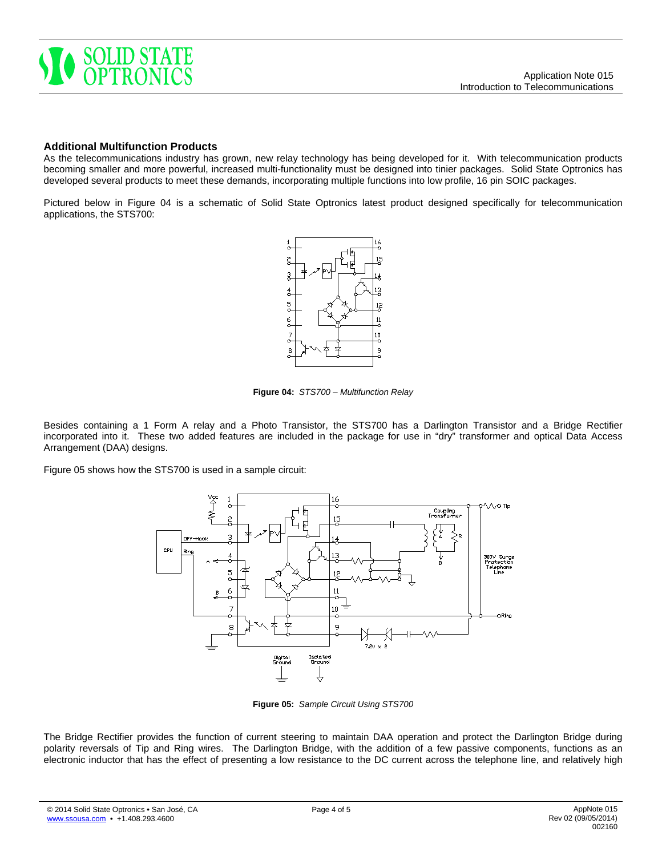

### **Additional Multifunction Products**

As the telecommunications industry has grown, new relay technology has being developed for it. With telecommunication products becoming smaller and more powerful, increased multi-functionality must be designed into tinier packages. Solid State Optronics has developed several products to meet these demands, incorporating multiple functions into low profile, 16 pin SOIC packages.

Pictured below in Figure 04 is a schematic of Solid State Optronics latest product designed specifically for telecommunication applications, the STS700:



**Figure 04:** *STS700 – Multifunction Relay*

Besides containing a 1 Form A relay and a Photo Transistor, the STS700 has a Darlington Transistor and a Bridge Rectifier incorporated into it. These two added features are included in the package for use in "dry" transformer and optical Data Access Arrangement (DAA) designs.

Figure 05 shows how the STS700 is used in a sample circuit:



**Figure 05:** *Sample Circuit Using STS700*

The Bridge Rectifier provides the function of current steering to maintain DAA operation and protect the Darlington Bridge during polarity reversals of Tip and Ring wires. The Darlington Bridge, with the addition of a few passive components, functions as an electronic inductor that has the effect of presenting a low resistance to the DC current across the telephone line, and relatively high